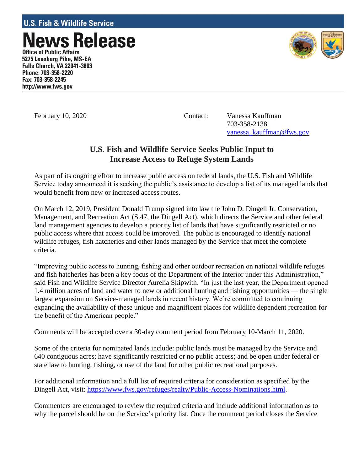ews Release **Office of Public Affairs** 5275 Leesburg Pike, MS-EA **Falls Church, VA 22041-3803** Phone: 703-358-2220 Fax: 703-358-2245 http://www.fws.gov



February 10, 2020 Contact: Vanessa Kauffman 703-358-2138 [vanessa\\_kauffman@fws.gov](mailto:vanessa_kauffman@fws.gov)

## **U.S. Fish and Wildlife Service Seeks Public Input to Increase Access to Refuge System Lands**

As part of its ongoing effort to increase public access on federal lands, the U.S. Fish and Wildlife Service today announced it is seeking the public's assistance to develop a list of its managed lands that would benefit from new or increased access routes.

On March 12, 2019, President Donald Trump signed into law the John D. Dingell Jr. Conservation, Management, and Recreation Act (S.47, the Dingell Act), which directs the Service and other federal land management agencies to develop a priority list of lands that have significantly restricted or no public access where that access could be improved. The public is encouraged to identify national wildlife refuges, fish hatcheries and other lands managed by the Service that meet the complete criteria.

"Improving public access to hunting, fishing and other outdoor recreation on national wildlife refuges and fish hatcheries has been a key focus of the Department of the Interior under this Administration," said Fish and Wildlife Service Director Aurelia Skipwith. "In just the last year, the Department opened 1.4 million acres of land and water to new or additional hunting and fishing opportunities — the single largest expansion on Service-managed lands in recent history. We're committed to continuing expanding the availability of these unique and magnificent places for wildlife dependent recreation for the benefit of the American people."

Comments will be accepted over a 30-day comment period from February 10-March 11, 2020.

Some of the criteria for nominated lands include: public lands must be managed by the Service and 640 contiguous acres; have significantly restricted or no public access; and be open under federal or state law to hunting, fishing, or use of the land for other public recreational purposes.

For additional information and a full list of required criteria for consideration as specified by the Dingell Act, visit: [https://www.fws.gov/refuges/realty/Public-Access-Nominations.html.](https://www.fws.gov/refuges/realty/Public-Access-Nominations.html)

Commenters are encouraged to review the required criteria and include additional information as to why the parcel should be on the Service's priority list. Once the comment period closes the Service